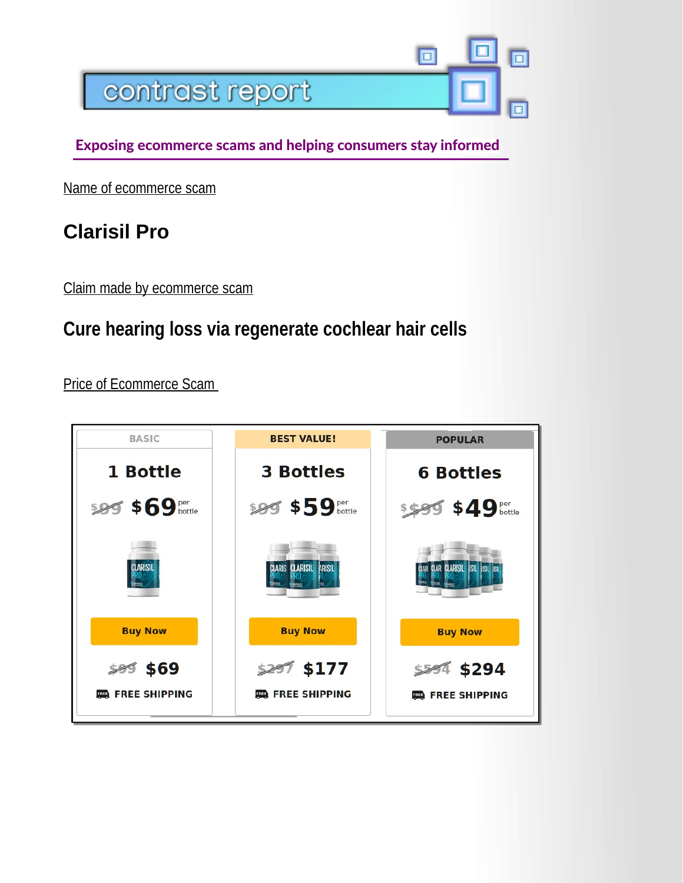

Exposing ecommerce scams and helping consumers stay informed

Name of ecommerce scam

## **Clarisil Pro**

Claim made by ecommerce scam

## **Cure hearing loss via regenerate cochlear hair cells**

Price of Ecommerce Scam

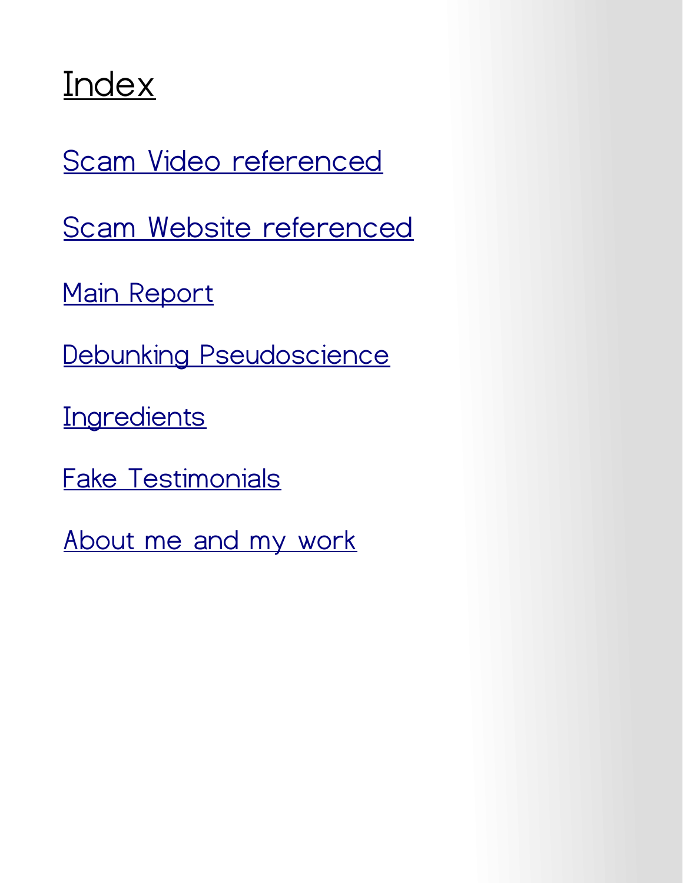## **Index**

[Scam Video referenced](https://drive.google.com/file/d/19OZIOVljtH52ymTpIQxbn7PFepxrcaQY/view?usp=sharing)

[Scam Website referenced](https://drive.google.com/file/d/1GS4vMSt0yF9tN3Ov06OBNrQpSqFSLuRu/view?usp=sharing)

[Main Report](#page-2-0)

[Debunking Pseudoscience](#page-3-0)

**[Ingredients](#page-4-0)** 

[Fake Testimonials](#page-5-0)

[About me and my work](#page-6-0)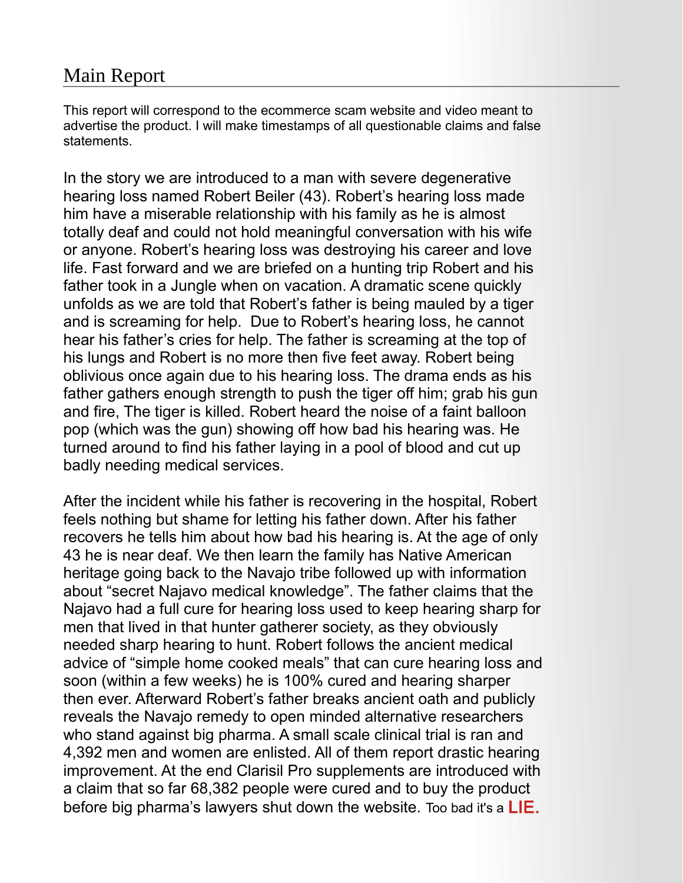## <span id="page-2-0"></span>Main Report

This report will correspond to the ecommerce scam website and video meant to advertise the product. I will make timestamps of all questionable claims and false statements.

In the story we are introduced to a man with severe degenerative hearing loss named Robert Beiler (43). Robert's hearing loss made him have a miserable relationship with his family as he is almost totally deaf and could not hold meaningful conversation with his wife or anyone. Robert's hearing loss was destroying his career and love life. Fast forward and we are briefed on a hunting trip Robert and his father took in a Jungle when on vacation. A dramatic scene quickly unfolds as we are told that Robert's father is being mauled by a tiger and is screaming for help. Due to Robert's hearing loss, he cannot hear his father's cries for help. The father is screaming at the top of his lungs and Robert is no more then five feet away. Robert being oblivious once again due to his hearing loss. The drama ends as his father gathers enough strength to push the tiger off him; grab his gun and fire, The tiger is killed. Robert heard the noise of a faint balloon pop (which was the gun) showing off how bad his hearing was. He turned around to find his father laying in a pool of blood and cut up badly needing medical services.

After the incident while his father is recovering in the hospital, Robert feels nothing but shame for letting his father down. After his father recovers he tells him about how bad his hearing is. At the age of only 43 he is near deaf. We then learn the family has Native American heritage going back to the Navajo tribe followed up with information about "secret Najavo medical knowledge". The father claims that the Najavo had a full cure for hearing loss used to keep hearing sharp for men that lived in that hunter gatherer society, as they obviously needed sharp hearing to hunt. Robert follows the ancient medical advice of "simple home cooked meals" that can cure hearing loss and soon (within a few weeks) he is 100% cured and hearing sharper then ever. Afterward Robert's father breaks ancient oath and publicly reveals the Navajo remedy to open minded alternative researchers who stand against big pharma. A small scale clinical trial is ran and 4,392 men and women are enlisted. All of them report drastic hearing improvement. At the end Clarisil Pro supplements are introduced with a claim that so far 68,382 people were cured and to buy the product before big pharma's lawyers shut down the website. Too bad it's a  $LIE$ .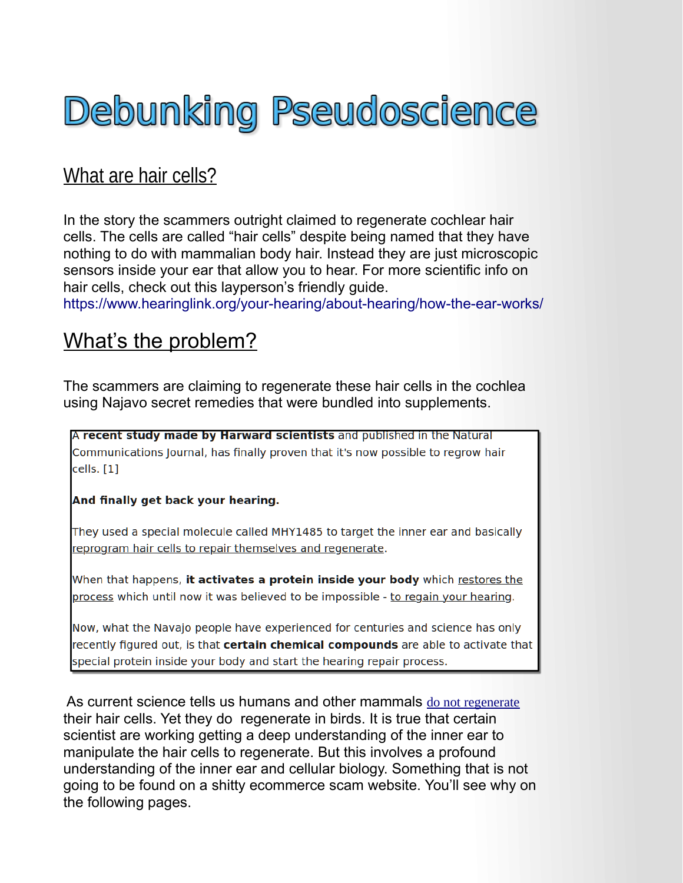# <span id="page-3-0"></span>Debunking Pseudoscience

## What are hair cells?

In the story the scammers outright claimed to regenerate cochlear hair cells. The cells are called "hair cells" despite being named that they have nothing to do with mammalian body hair. Instead they are just microscopic sensors inside your ear that allow you to hear. For more scientific info on hair cells, check out this layperson's friendly guide.

<https://www.hearinglink.org/your-hearing/about-hearing/how-the-ear-works/>

## What's the problem?

The scammers are claiming to regenerate these hair cells in the cochlea using Najavo secret remedies that were bundled into supplements.

A recent study made by Harward scientists and published in the Natural Communications Journal, has finally proven that it's now possible to regrow hair cells. [1]

#### And finally get back your hearing.

They used a special molecule called MHY1485 to target the inner ear and basically reprogram hair cells to repair themselves and regenerate.

When that happens, **it activates a protein inside your body** which restores the process which until now it was believed to be impossible - to regain your hearing.

Now, what the Navajo people have experienced for centuries and science has only recently figured out, is that certain chemical compounds are able to activate that special protein inside your body and start the hearing repair process.

 As current science tells us humans and other mammals [do not regenerate](http://www.cochlea.eu/en/research-lines/regeneration) their hair cells. Yet they do regenerate in birds. It is true that certain scientist are working getting a deep understanding of the inner ear to manipulate the hair cells to regenerate. But this involves a profound understanding of the inner ear and cellular biology. Something that is not going to be found on a shitty ecommerce scam website. You'll see why on the following pages.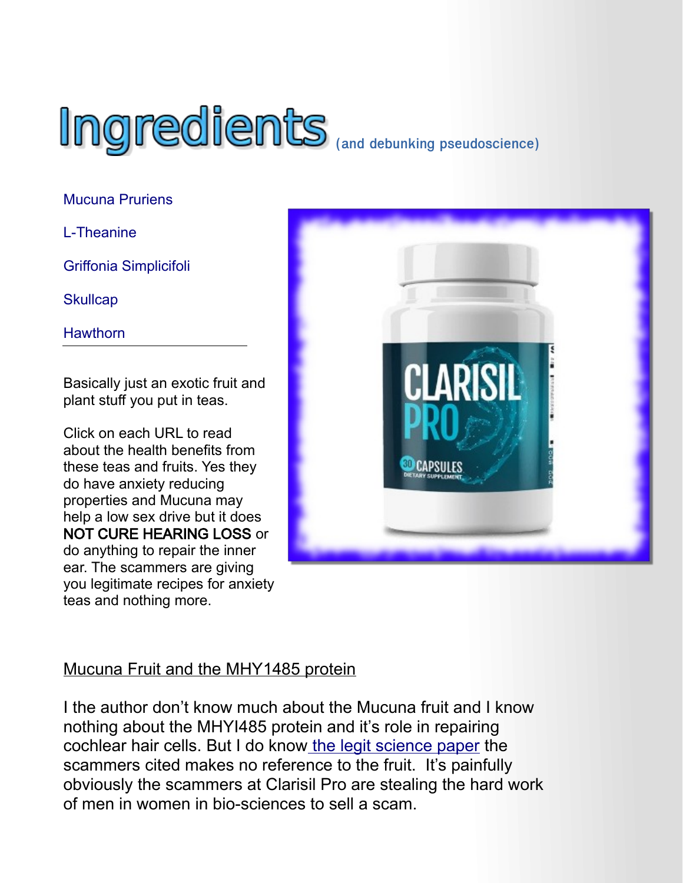

[Mucuna Pruriens](https://blog.daveasprey.com/mucuna-pruriens-dopa-bean/)

<span id="page-4-0"></span>[L-Theanine](https://www.healthline.com/health/l-theanine#benefits-and-uses)

[Griffonia Simplicifoli](https://www.webmd.com/vitamins/ai/ingredientmono-1608/griffonia-simplicifolia)

**[Skullcap](https://www.healthline.com/nutrition/skullcap)** 

**[Hawthorn](https://www.webmd.com/vitamins/ai/ingredientmono-527/hawthorn)** 

Basically just an exotic fruit and plant stuff you put in teas.

Click on each URL to read about the health benefits from these teas and fruits. Yes they do have anxiety reducing properties and Mucuna may help a low sex drive but it does NOT CURE HEARING LOSS or do anything to repair the inner ear. The scammers are giving you legitimate recipes for anxiety teas and nothing more.



## Mucuna Fruit and the MHY1485 protein

I the author don't know much about the Mucuna fruit and I know nothing about the MHYI485 protein and it's role in repairing cochlear hair cells. But I do know [the legit science paper](https://www.nature.com/articles/s41467-019-13157-7) the scammers cited makes no reference to the fruit. It's painfully obviously the scammers at Clarisil Pro are stealing the hard work of men in women in bio-sciences to sell a scam.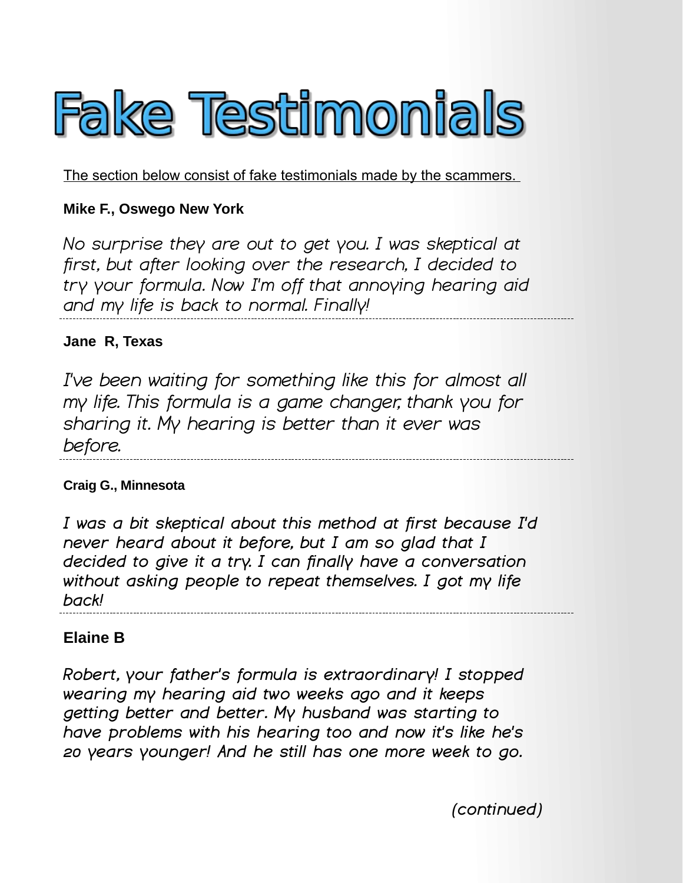<span id="page-5-0"></span>

The section below consist of fake testimonials made by the scammers.

#### **Mike F., Oswego New York**

*No surprise they are out to get you. I was skeptical at first, but after looking over the research, I decided to try your formula. Now I'm off that annoying hearing aid and my life is back to normal. Finally!*

#### **Jane R, Texas**

*I've been waiting for something like this for almost all my life. This formula is a game changer, thank you for sharing it. My hearing is better than it ever was before.*

#### **Craig G., Minnesota**

*I was a bit skeptical about this method at first because I'd never heard about it before, but I am so glad that I decided to give it a try. I can finally have a conversation without asking people to repeat themselves. I got my life back!*

#### **Elaine B**

*Robert, your father's formula is extraordinary! I stopped wearing my hearing aid two weeks ago and it keeps getting better and better. My husband was starting to have problems with his hearing too and now it's like he's 20 years younger! And he still has one more week to go.*

*(continued)*